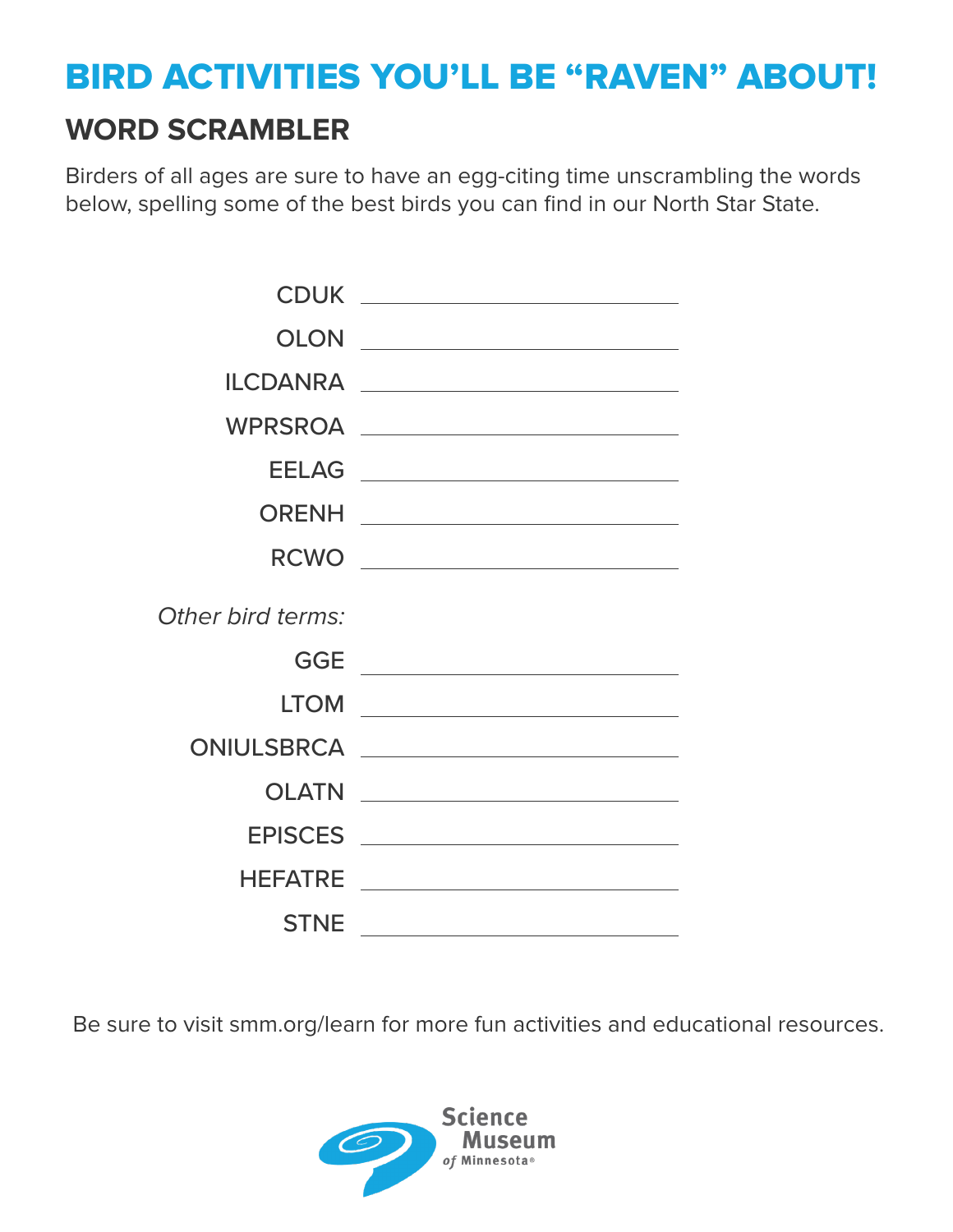## BIRD ACTIVITIES YOU'LL BE "RAVEN" ABOUT!

#### **WORD SCRAMBLER**

Birders of all ages are sure to have an egg-citing time unscrambling the words below, spelling some of the best birds you can find in our North Star State.

|                   | RCWO __________________________                                                                                        |
|-------------------|------------------------------------------------------------------------------------------------------------------------|
| Other bird terms: |                                                                                                                        |
| <b>GGE</b>        |                                                                                                                        |
| <b>LTOM</b>       | <u> 1989 - Johann Barn, mars ann an t-Amhainn an t-Amhainn an t-Amhainn an t-Amhainn an t-Amhainn an t-Amhainn an </u> |
|                   |                                                                                                                        |
| <b>OLATN</b>      |                                                                                                                        |
|                   |                                                                                                                        |
| <b>HEFATRE</b>    |                                                                                                                        |
| <b>STNE</b>       | <u> 1989 - Johann Barn, mars eta bainar eta industrial eta industrial eta industrial eta industrial eta industria</u>  |

Be sure to visit smm.org/learn for more fun activities and educational resources.

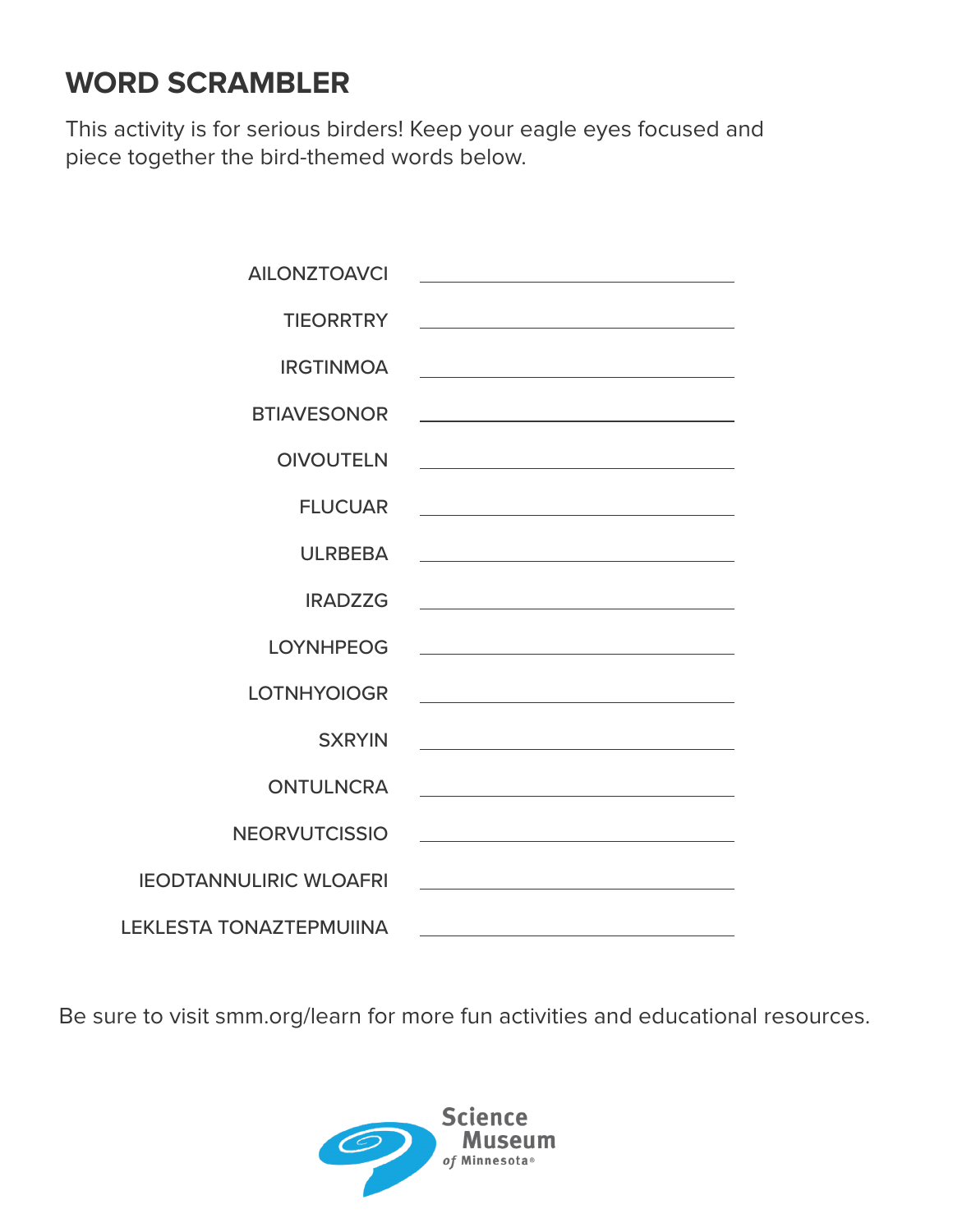### **WORD SCRAMBLER**

This activity is for serious birders! Keep your eagle eyes focused and piece together the bird-themed words below.

| <b>AILONZTOAVCI</b>            |                                                                                                                        |
|--------------------------------|------------------------------------------------------------------------------------------------------------------------|
| <b>TIEORRTRY</b>               | <u> 1989 - Johann Barn, mars ann an t-Amhain ann an t-Amhain an t-Amhain an t-Amhain an t-Amhain an t-Amhain an t-</u> |
| <b>IRGTINMOA</b>               | <u> 1989 - Johann Barbara, martxa alemaniar arg</u>                                                                    |
| <b>BTIAVESONOR</b>             | <u> 1989 - Johann Barbara, martxa alemaniar arg</u>                                                                    |
| <b>OIVOUTELN</b>               | <u> 1989 - Johann Stein, marwolaethau a bhann an t-Amhainn an t-Amhainn an t-Amhainn an t-Amhainn an t-Amhainn a</u>   |
| <b>FLUCUAR</b>                 |                                                                                                                        |
| <b>ULRBEBA</b>                 | <u> 1989 - Johann Barbara, martxa alemaniar a</u>                                                                      |
| <b>IRADZZG</b>                 |                                                                                                                        |
| <b>LOYNHPEOG</b>               | <u> 1980 - Johann Barbara, martxa alemaniar a</u>                                                                      |
| <b>LOTNHYOIOGR</b>             |                                                                                                                        |
| <b>SXRYIN</b>                  |                                                                                                                        |
| <b>ONTULNCRA</b>               |                                                                                                                        |
| <b>NEORVUTCISSIO</b>           | <u> 1989 - Johann Stein, marwolaethau a bhann an t-Amhainn an t-Amhainn an t-Amhainn an t-Amhainn an t-Amhainn an</u>  |
| <b>IEODTANNULIRIC WLOAFRI</b>  |                                                                                                                        |
| <b>LEKLESTA TONAZTEPMUIINA</b> | <u> 1989 - Johann Barn, mars ann an t-Amhain Aonaichte ann an t-Aonaichte ann an t-Aonaichte ann an t-Aonaichte a</u>  |

Be sure to visit smm.org/learn for more fun activities and educational resources.

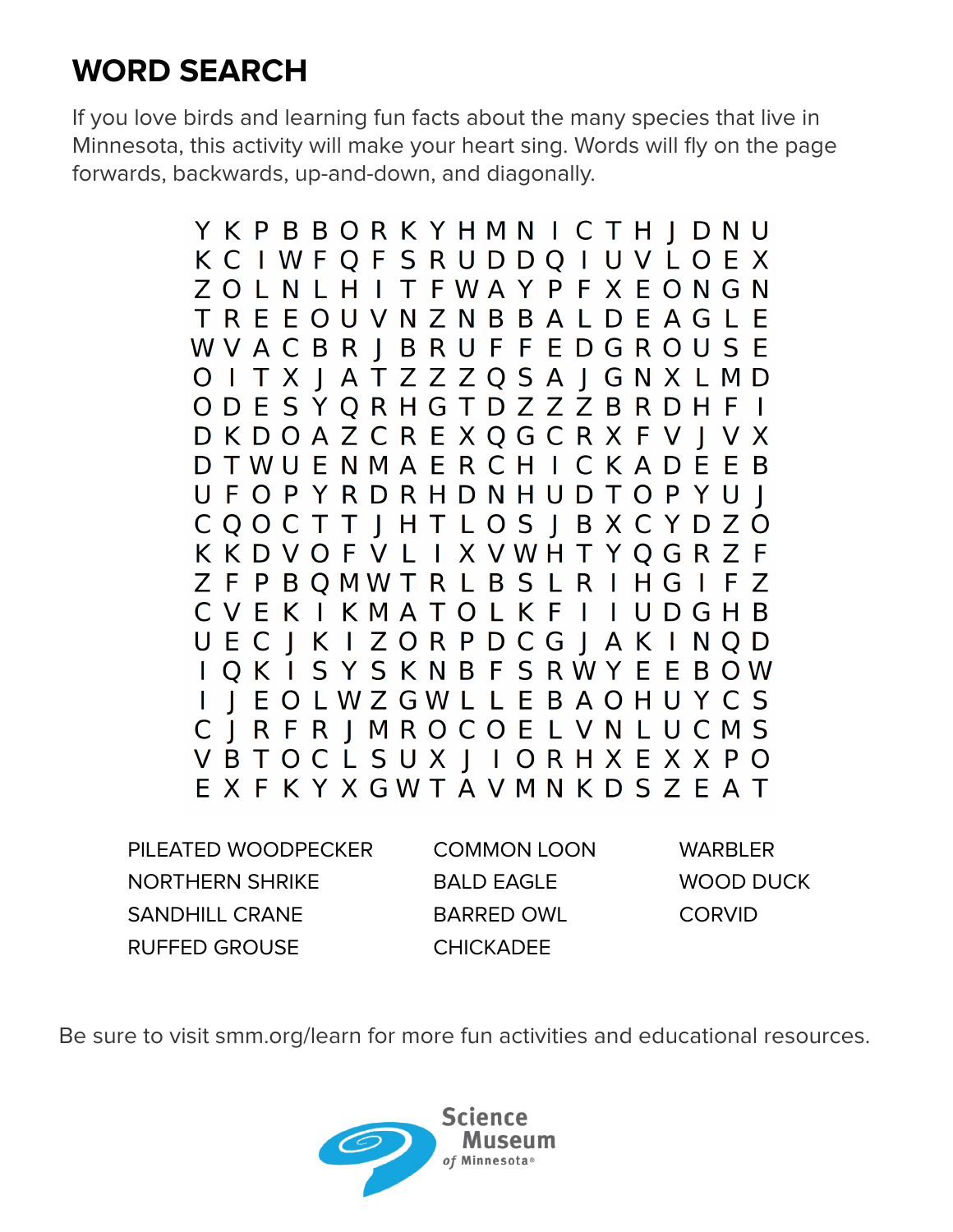# **WORD SEARCH**

If you love birds and learning fun facts about the many species that live in Minnesota, this activity will make your heart sing. Words will fly on the page forwards, backwards, up-and-down, and diagonally.

> YKPBBORKYHMNICTHIDNU KCIWFQFSRUDDQIUVLOEX ZOLNLHITFWAYPFXEONGN TREEOUVNZNBBALDEAGLE WVACBR J B R U F F E D G R O U S E O I T X J A T Z Z Z Q S A J G N X L M D ODESYQRHGTDZZZBRDHFI DKDOAZCREXOGCRXFVIVX D T W U E N M A E R C H I C K A D E E B UFOPYRDRHDNHUDTOPYUI CQOCTTIHTLOSIBXCYDZO KKDVOFVLIXVWHTYQGRZF ZFPBOMWTRLBSLRIHGIFZ CVEKIKMATOLKFIIUDGHB UECJKIZORPDCGJAKINQD I Q K I S Y S K N B F S R W Y E E B O W I | EOLWZGWLLEBAOHUYCS C J R F R J M R O C O E L V N L U C M S VBTOCLSUXJIORHXEXXPO EXFKYXGWTAVMNKDSZEAT

PILEATED WOODPECKER NORTHERN SHRIKE SANDHILL CRANE RUFFED GROUSE

COMMON LOON BALD EAGLE BARRED OWL **CHICKADEE** 

WARRI FR WOOD DUCK **CORVID** 

Be sure to visit smm.org/learn for more fun activities and educational resources.

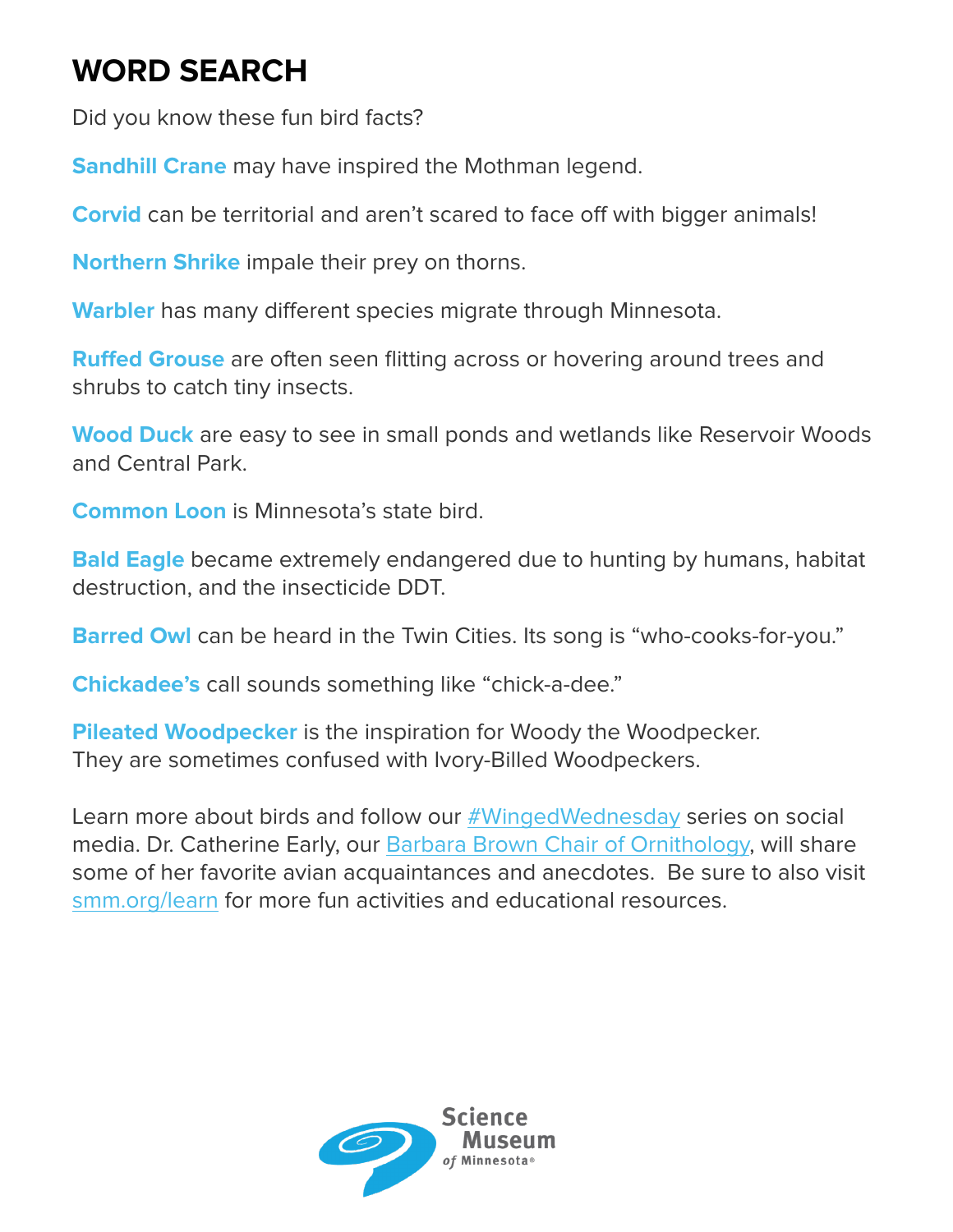## **WORD SEARCH**

Did you know these fun bird facts?

**Sandhill Crane** may have inspired the Mothman legend.

**Corvid** can be territorial and aren't scared to face off with bigger animals!

**Northern Shrike** impale their prey on thorns.

**Warbler** has many different species migrate through Minnesota.

**Ruffed Grouse** are often seen flitting across or hovering around trees and shrubs to catch tiny insects.

**Wood Duck** are easy to see in small ponds and wetlands like Reservoir Woods and Central Park.

**Common Loon** is Minnesota's state bird.

**Bald Eagle** became extremely endangered due to hunting by humans, habitat destruction, and the insecticide DDT.

**Barred Owl** can be heard in the Twin Cities. Its song is "who-cooks-for-you."

**Chickadee's** call sounds something like "chick-a-dee."

**Pileated Woodpecker** is the inspiration for Woody the Woodpecker. They are sometimes confused with Ivory-Billed Woodpeckers.

Learn more about birds and follow our #WingedWednesday series on social media. Dr. Catherine Early, our Barbara Brown Chair of Ornithology, will share some of her favorite avian acquaintances and anecdotes. Be sure to also visit smm.org/learn for more fun activities and educational resources.

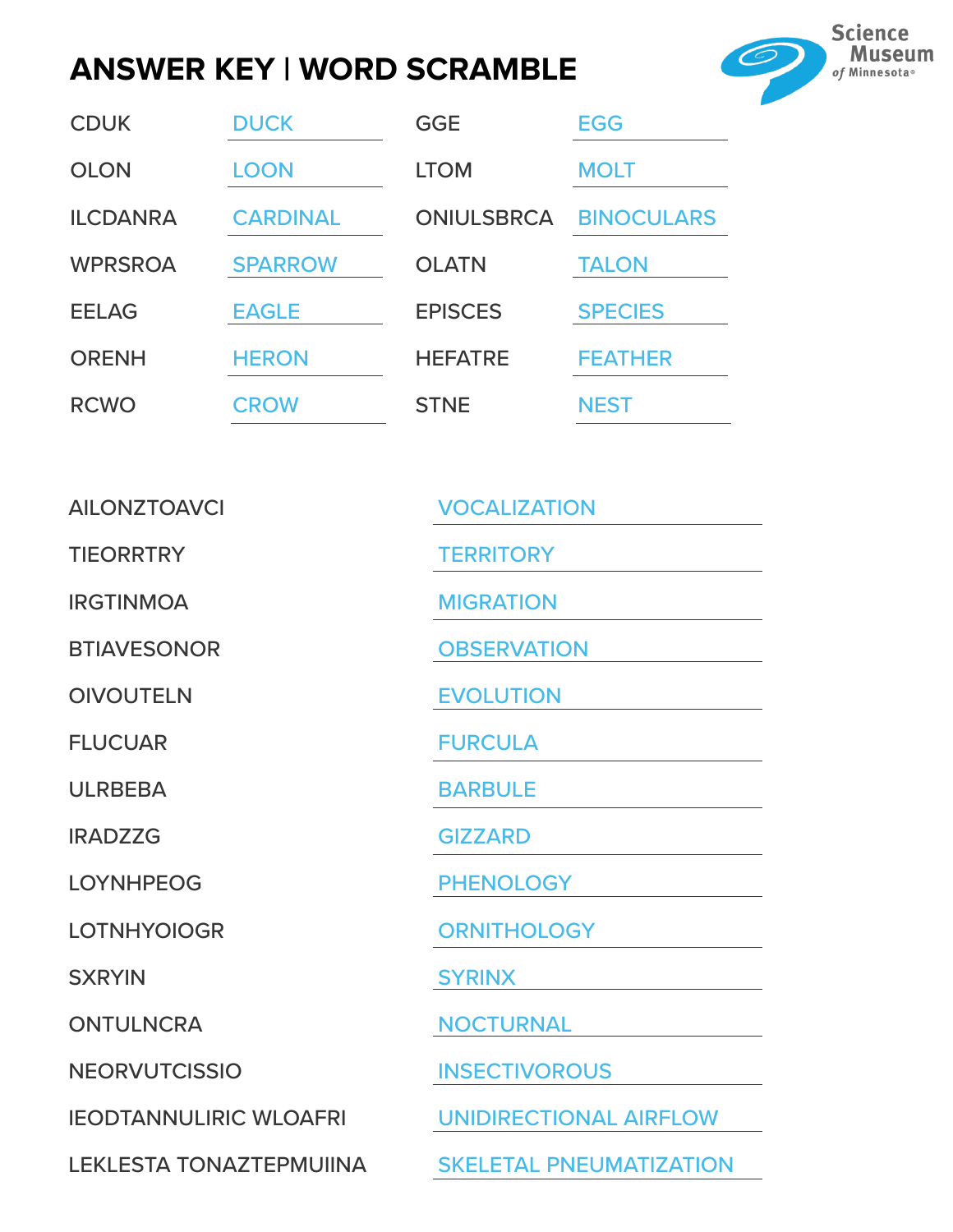### **ANSWER KEY | WORD SCRAMBLE**



| <b>CDUK</b>     | <b>DUCK</b>     | <b>GGE</b>        | <b>EGG</b>        |
|-----------------|-----------------|-------------------|-------------------|
| <b>OLON</b>     | <b>LOON</b>     | <b>LTOM</b>       | <b>MOLT</b>       |
| <b>ILCDANRA</b> | <b>CARDINAL</b> | <b>ONIULSBRCA</b> | <b>BINOCULARS</b> |
| <b>WPRSROA</b>  | <b>SPARROW</b>  | <b>OLATN</b>      | <b>TALON</b>      |
| <b>EELAG</b>    | <b>EAGLE</b>    | <b>EPISCES</b>    | <b>SPECIES</b>    |
| <b>ORENH</b>    | <b>HERON</b>    | <b>HEFATRE</b>    | <b>FEATHER</b>    |
| <b>RCWO</b>     | <b>CROW</b>     | <b>STNE</b>       | <b>NEST</b>       |

| <b>AILONZTOAVCI</b>            | <b>VOCALIZATION</b>            |
|--------------------------------|--------------------------------|
| <b>TIEORRTRY</b>               | <b>TERRITORY</b>               |
| <b>IRGTINMOA</b>               | <b>MIGRATION</b>               |
| <b>BTIAVESONOR</b>             | <b>OBSERVATION</b>             |
| <b>OIVOUTELN</b>               | <b>EVOLUTION</b>               |
| <b>FLUCUAR</b>                 | <b>FURCULA</b>                 |
| <b>ULRBEBA</b>                 | <b>BARBULE</b>                 |
| <b>IRADZZG</b>                 | <b>GIZZARD</b>                 |
| <b>LOYNHPEOG</b>               | <b>PHENOLOGY</b>               |
| <b>LOTNHYOIOGR</b>             | <b>ORNITHOLOGY</b>             |
| <b>SXRYIN</b>                  | <b>SYRINX</b>                  |
| <b>ONTULNCRA</b>               | <b>NOCTURNAL</b>               |
| <b>NEORVUTCISSIO</b>           | <b>INSECTIVOROUS</b>           |
| <b>IEODTANNULIRIC WLOAFRI</b>  | <b>UNIDIRECTIONAL AIRFLOW</b>  |
| <b>LEKLESTA TONAZTEPMUIINA</b> | <b>SKELETAL PNEUMATIZATION</b> |